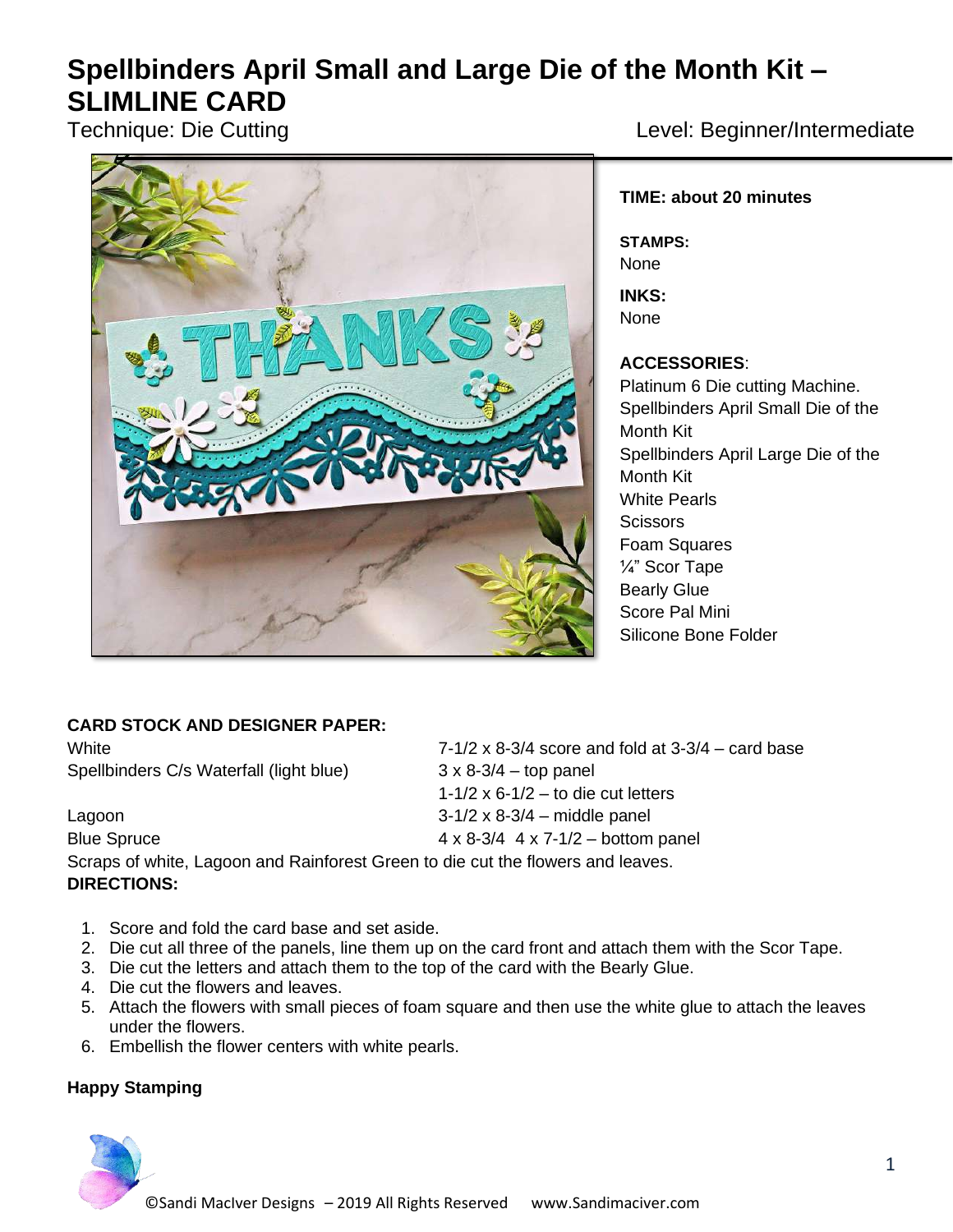# **Spellbinders April Small and Large Die of the Month Kit – SLIMLINE CARD**



Technique: Die Cutting and American Level: Beginner/Intermediate

### **TIME: about 20 minutes**

**STAMPS:** None

**INKS:** None

#### **ACCESSORIES**:

Platinum 6 Die cutting Machine. Spellbinders April Small Die of the Month Kit Spellbinders April Large Die of the Month Kit White Pearls **Scissors** Foam Squares ¼" Scor Tape Bearly Glue Score Pal Mini Silicone Bone Folder

## **CARD STOCK AND DESIGNER PAPER:**

White  $7-1/2 \times 8-3/4$  score and fold at  $3-3/4$  – card base Spellbinders C/s Waterfall (light blue) 3 x 8-3/4 – top panel

Lagoon 3-1/2 x 8-3/4 – middle panel Blue Spruce  $4 \times 8-3/4$  4  $\times 7-1/2$  – bottom panel Scraps of white, Lagoon and Rainforest Green to die cut the flowers and leaves. **DIRECTIONS:**

- 1. Score and fold the card base and set aside.
- 2. Die cut all three of the panels, line them up on the card front and attach them with the Scor Tape.

1-1/2  $\times$  6-1/2 – to die cut letters

- 3. Die cut the letters and attach them to the top of the card with the Bearly Glue.
- 4. Die cut the flowers and leaves.
- 5. Attach the flowers with small pieces of foam square and then use the white glue to attach the leaves under the flowers.
- 6. Embellish the flower centers with white pearls.

## **Happy Stamping**

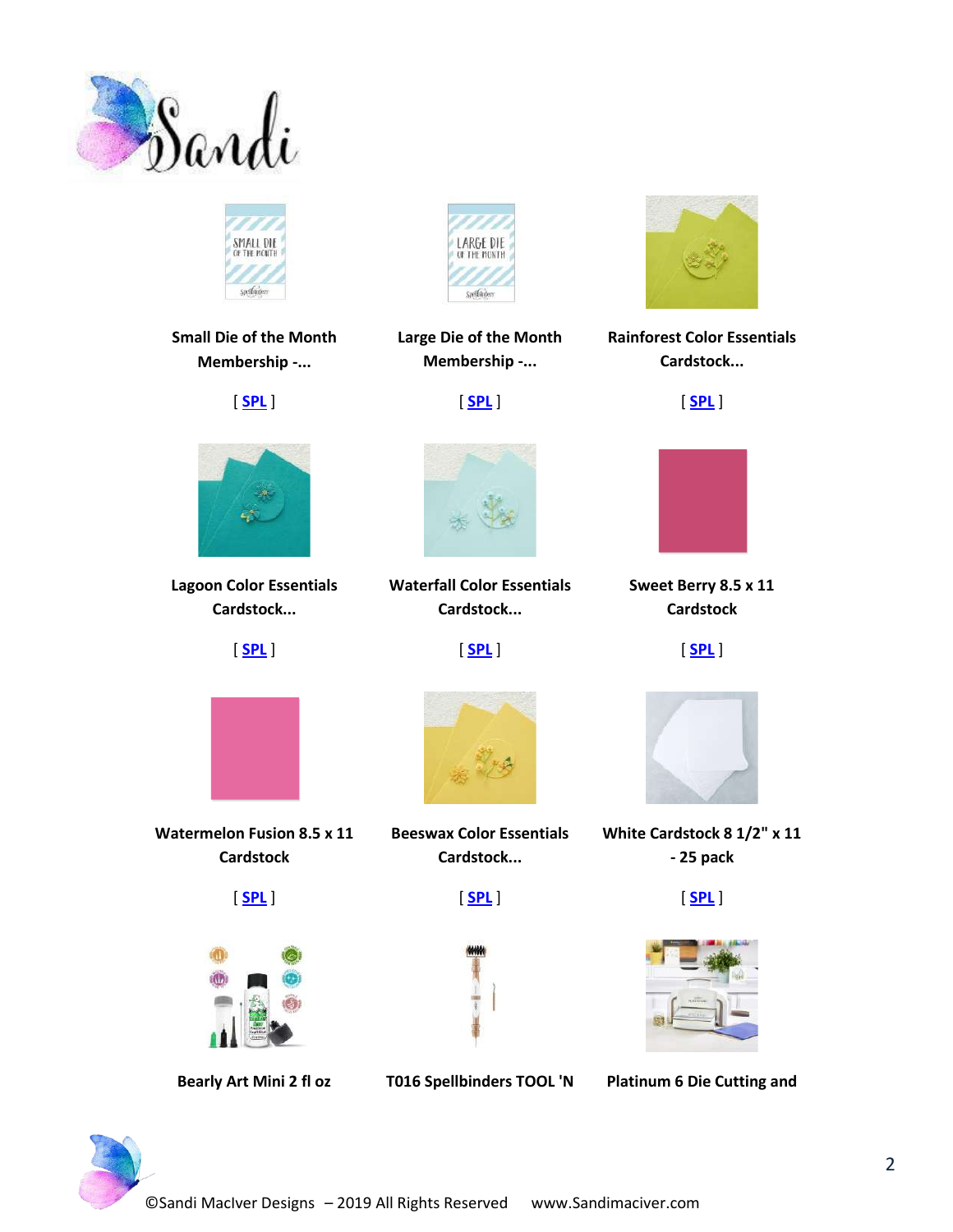